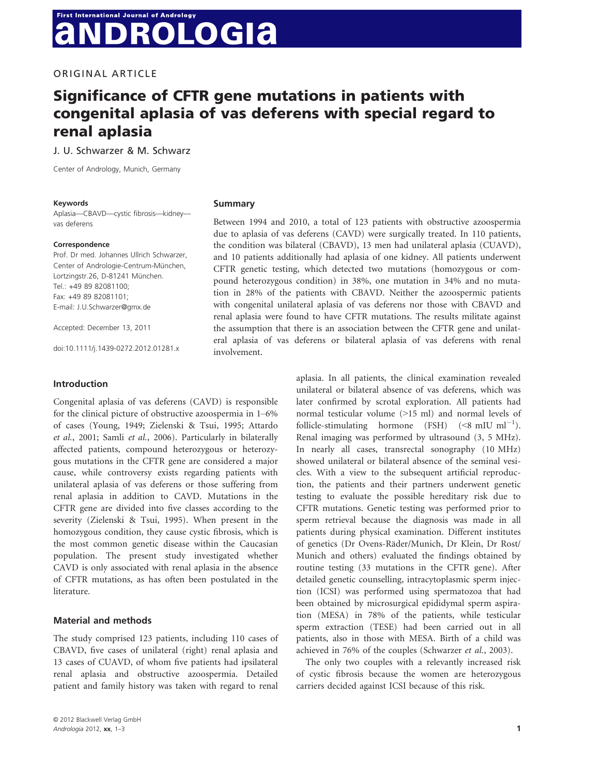# **First International Journal of Andrology ROLOGIA**

ORIGINAL ARTICLE

## Significance of CFTR gene mutations in patients with congenital aplasia of vas deferens with special regard to renal aplasia

J. U. Schwarzer & M. Schwarz

Center of Andrology, Munich, Germany

#### Keywords

Aplasia—CBAVD—cystic fibrosis—kidney vas deferens

#### Correspondence

Prof. Dr med. Johannes Ullrich Schwarzer, Center of Andrologie-Centrum-München, Lortzingstr.26, D-81241 München. Tel.: +49 89 82081100; Fax: +49 89 82081101; E-mail: J.U.Schwarzer@gmx.de

Accepted: December 13, 2011

doi:10.1111/j.1439-0272.2012.01281.x

#### Introduction

Congenital aplasia of vas deferens (CAVD) is responsible for the clinical picture of obstructive azoospermia in 1–6% of cases (Young, 1949; Zielenski & Tsui, 1995; Attardo et al., 2001; Samli et al., 2006). Particularly in bilaterally affected patients, compound heterozygous or heterozygous mutations in the CFTR gene are considered a major cause, while controversy exists regarding patients with unilateral aplasia of vas deferens or those suffering from renal aplasia in addition to CAVD. Mutations in the CFTR gene are divided into five classes according to the severity (Zielenski & Tsui, 1995). When present in the homozygous condition, they cause cystic fibrosis, which is the most common genetic disease within the Caucasian population. The present study investigated whether CAVD is only associated with renal aplasia in the absence of CFTR mutations, as has often been postulated in the literature.

## Material and methods

The study comprised 123 patients, including 110 cases of CBAVD, five cases of unilateral (right) renal aplasia and 13 cases of CUAVD, of whom five patients had ipsilateral renal aplasia and obstructive azoospermia. Detailed patient and family history was taken with regard to renal

#### Summary

Between 1994 and 2010, a total of 123 patients with obstructive azoospermia due to aplasia of vas deferens (CAVD) were surgically treated. In 110 patients, the condition was bilateral (CBAVD), 13 men had unilateral aplasia (CUAVD), and 10 patients additionally had aplasia of one kidney. All patients underwent CFTR genetic testing, which detected two mutations (homozygous or compound heterozygous condition) in 38%, one mutation in 34% and no mutation in 28% of the patients with CBAVD. Neither the azoospermic patients with congenital unilateral aplasia of vas deferens nor those with CBAVD and renal aplasia were found to have CFTR mutations. The results militate against the assumption that there is an association between the CFTR gene and unilateral aplasia of vas deferens or bilateral aplasia of vas deferens with renal involvement.

> aplasia. In all patients, the clinical examination revealed unilateral or bilateral absence of vas deferens, which was later confirmed by scrotal exploration. All patients had normal testicular volume (>15 ml) and normal levels of follicle-stimulating hormone (FSH)  $(<8 \text{ mIU m}^{-1})$ . Renal imaging was performed by ultrasound (3, 5 MHz). In nearly all cases, transrectal sonography (10 MHz) showed unilateral or bilateral absence of the seminal vesicles. With a view to the subsequent artificial reproduction, the patients and their partners underwent genetic testing to evaluate the possible hereditary risk due to CFTR mutations. Genetic testing was performed prior to sperm retrieval because the diagnosis was made in all patients during physical examination. Different institutes of genetics (Dr Ovens-Räder/Munich, Dr Klein, Dr Rost/ Munich and others) evaluated the findings obtained by routine testing (33 mutations in the CFTR gene). After detailed genetic counselling, intracytoplasmic sperm injection (ICSI) was performed using spermatozoa that had been obtained by microsurgical epididymal sperm aspiration (MESA) in 78% of the patients, while testicular sperm extraction (TESE) had been carried out in all patients, also in those with MESA. Birth of a child was achieved in 76% of the couples (Schwarzer et al., 2003).

The only two couples with a relevantly increased risk of cystic fibrosis because the women are heterozygous carriers decided against ICSI because of this risk.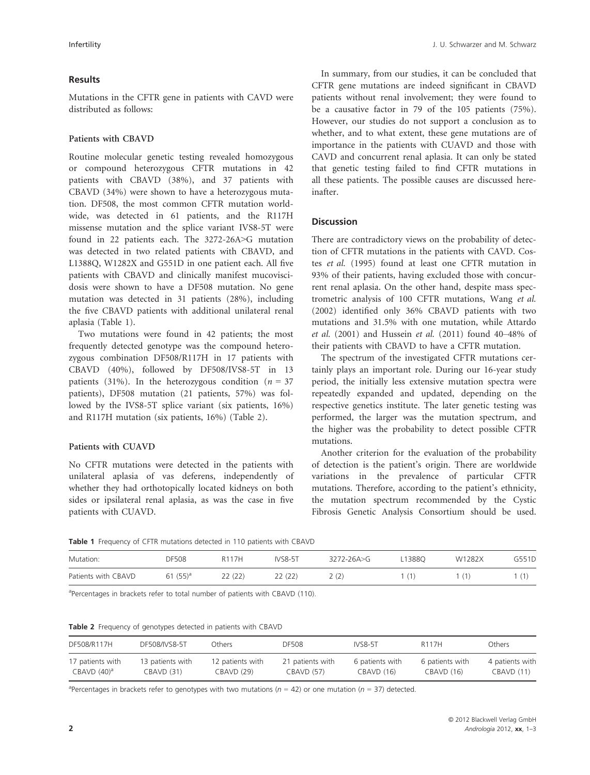## Results

Mutations in the CFTR gene in patients with CAVD were distributed as follows:

## Patients with CBAVD

Routine molecular genetic testing revealed homozygous or compound heterozygous CFTR mutations in 42 patients with CBAVD (38%), and 37 patients with CBAVD (34%) were shown to have a heterozygous mutation. DF508, the most common CFTR mutation worldwide, was detected in 61 patients, and the R117H missense mutation and the splice variant IVS8-5T were found in 22 patients each. The 3272-26A>G mutation was detected in two related patients with CBAVD, and L1388Q, W1282X and G551D in one patient each. All five patients with CBAVD and clinically manifest mucoviscidosis were shown to have a DF508 mutation. No gene mutation was detected in 31 patients (28%), including the five CBAVD patients with additional unilateral renal aplasia (Table 1).

Two mutations were found in 42 patients; the most frequently detected genotype was the compound heterozygous combination DF508/R117H in 17 patients with CBAVD (40%), followed by DF508/IVS8-5T in 13 patients (31%). In the heterozygous condition ( $n = 37$ ) patients), DF508 mutation (21 patients, 57%) was followed by the IVS8-5T splice variant (six patients, 16%) and R117H mutation (six patients, 16%) (Table 2).

## Patients with CUAVD

No CFTR mutations were detected in the patients with unilateral aplasia of vas deferens, independently of whether they had orthotopically located kidneys on both sides or ipsilateral renal aplasia, as was the case in five patients with CUAVD.

In summary, from our studies, it can be concluded that CFTR gene mutations are indeed significant in CBAVD patients without renal involvement; they were found to be a causative factor in 79 of the 105 patients (75%). However, our studies do not support a conclusion as to whether, and to what extent, these gene mutations are of importance in the patients with CUAVD and those with CAVD and concurrent renal aplasia. It can only be stated that genetic testing failed to find CFTR mutations in all these patients. The possible causes are discussed hereinafter.

## **Discussion**

There are contradictory views on the probability of detection of CFTR mutations in the patients with CAVD. Costes et al. (1995) found at least one CFTR mutation in 93% of their patients, having excluded those with concurrent renal aplasia. On the other hand, despite mass spectrometric analysis of 100 CFTR mutations, Wang et al. (2002) identified only 36% CBAVD patients with two mutations and 31.5% with one mutation, while Attardo et al. (2001) and Hussein et al. (2011) found 40–48% of their patients with CBAVD to have a CFTR mutation.

The spectrum of the investigated CFTR mutations certainly plays an important role. During our 16-year study period, the initially less extensive mutation spectra were repeatedly expanded and updated, depending on the respective genetics institute. The later genetic testing was performed, the larger was the mutation spectrum, and the higher was the probability to detect possible CFTR mutations.

Another criterion for the evaluation of the probability of detection is the patient's origin. There are worldwide variations in the prevalence of particular CFTR mutations. Therefore, according to the patient's ethnicity, the mutation spectrum recommended by the Cystic Fibrosis Genetic Analysis Consortium should be used.

Table 1 Frequency of CFTR mutations detected in 110 patients with CBAVD

| Mutation:           | DF508       | R117H  | <b>IVS8-5T</b> | $3272 - 26A > G$ | 13880ء | W1282X | G551D |
|---------------------|-------------|--------|----------------|------------------|--------|--------|-------|
| Patients with CBAVD | 61 $(55)^a$ | 22(22) | 22 (22)        | 2(2)             |        |        |       |

<sup>a</sup>Percentages in brackets refer to total number of patients with CBAVD (110).

Table 2 Frequency of genotypes detected in patients with CBAVD

| DF508/R117H            | DF508/IVS8-5T    | Others           | DF508            | IVS8-5T         | R117H           | Others          |
|------------------------|------------------|------------------|------------------|-----------------|-----------------|-----------------|
| 17 patients with       | 13 patients with | 12 patients with | 21 patients with | 6 patients with | 6 patients with | 4 patients with |
| CBAVD(40) <sup>a</sup> | CBAVD(31)        | CBAVD (29)       | CBAVD (57)       | CBAVD (16)      | CBAVD (16)      | CBAVD (11)      |

<sup>a</sup>Percentages in brackets refer to genotypes with two mutations ( $n = 42$ ) or one mutation ( $n = 37$ ) detected.